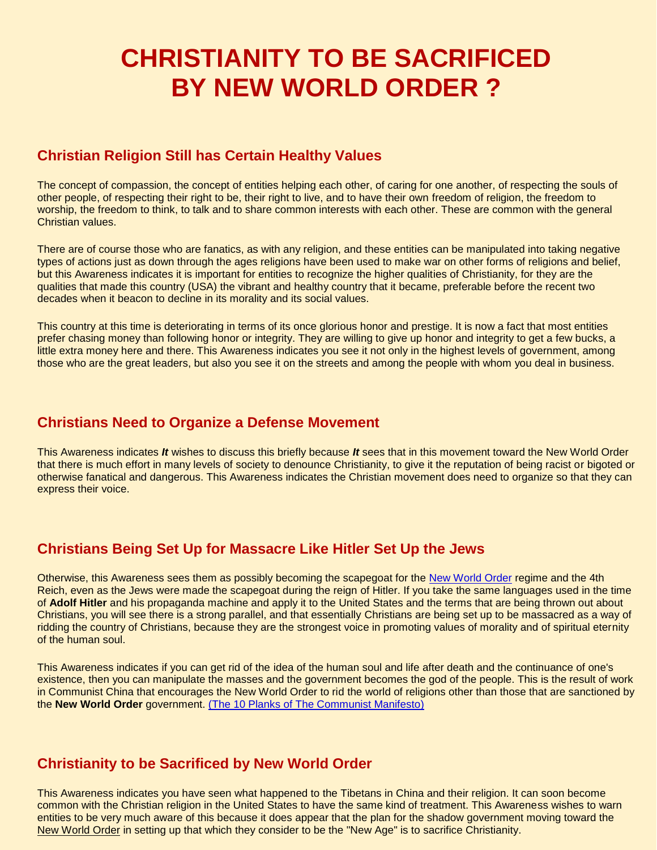# **CHRISTIANITY TO BE SACRIFICED BY NEW WORLD ORDER ?**

### **Christian Religion Still has Certain Healthy Values**

The concept of compassion, the concept of entities helping each other, of caring for one another, of respecting the souls of other people, of respecting their right to be, their right to live, and to have their own freedom of religion, the freedom to worship, the freedom to think, to talk and to share common interests with each other. These are common with the general Christian values.

There are of course those who are fanatics, as with any religion, and these entities can be manipulated into taking negative types of actions just as down through the ages religions have been used to make war on other forms of religions and belief, but this Awareness indicates it is important for entities to recognize the higher qualities of Christianity, for they are the qualities that made this country (USA) the vibrant and healthy country that it became, preferable before the recent two decades when it beacon to decline in its morality and its social values.

This country at this time is deteriorating in terms of its once glorious honor and prestige. It is now a fact that most entities prefer chasing money than following honor or integrity. They are willing to give up honor and integrity to get a few bucks, a little extra money here and there. This Awareness indicates you see it not only in the highest levels of government, among those who are the great leaders, but also you see it on the streets and among the people with whom you deal in business.

#### **Christians Need to Organize a Defense Movement**

This Awareness indicates *It* wishes to discuss this briefly because *It* sees that in this movement toward the New World Order that there is much effort in many levels of society to denounce Christianity, to give it the reputation of being racist or bigoted or otherwise fanatical and dangerous. This Awareness indicates the Christian movement does need to organize so that they can express their voice.

# **Christians Being Set Up for Massacre Like Hitler Set Up the Jews**

Otherwise, this Awareness sees them as possibly becoming the scapegoat for the [New World Order](https://www.bibliotecapleyades.net/esp_sociopol_nwo.htm) regime and the 4th Reich, even as the Jews were made the scapegoat during the reign of Hitler. If you take the same languages used in the time of **Adolf Hitler** and his propaganda machine and apply it to the United States and the terms that are being thrown out about Christians, you will see there is a strong parallel, and that essentially Christians are being set up to be massacred as a way of ridding the country of Christians, because they are the strongest voice in promoting values of morality and of spiritual eternity of the human soul.

This Awareness indicates if you can get rid of the idea of the human soul and life after death and the continuance of one's existence, then you can manipulate the masses and the government becomes the god of the people. This is the result of work in Communist China that encourages the New World Order to rid the world of religions other than those that are sanctioned by the **New World Order** government. [\(The 10 Planks of The Communist Manifesto\)](https://www.bibliotecapleyades.net/sociopolitica/master_file/tenplankscommunism.htm)

#### **Christianity to be Sacrificed by New World Order**

This Awareness indicates you have seen what happened to the Tibetans in China and their religion. It can soon become common with the Christian religion in the United States to have the same kind of treatment. This Awareness wishes to warn entities to be very much aware of this because it does appear that the plan for the shadow government moving toward the New World Order in setting up that which they consider to be the "New Age" is to sacrifice Christianity.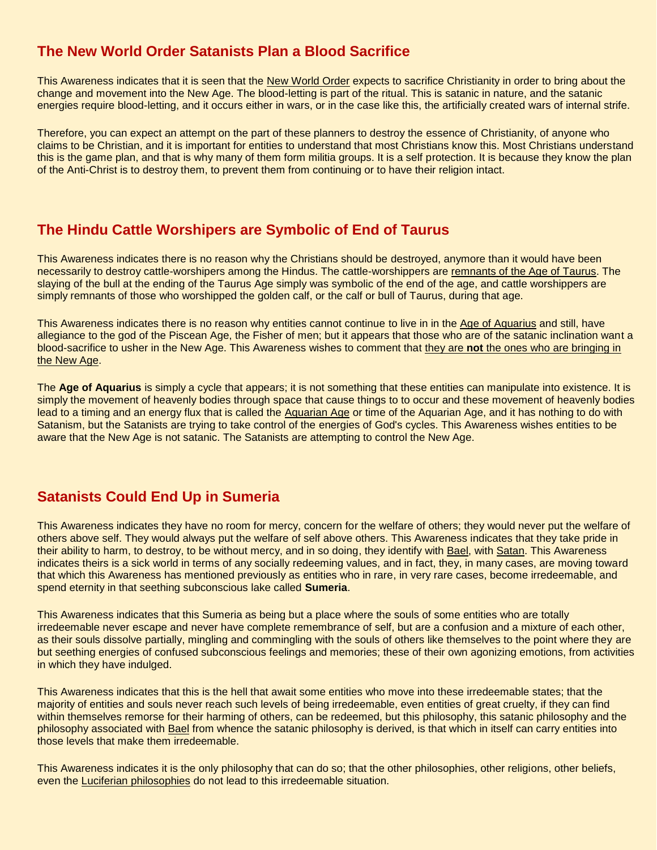# **The New World Order Satanists Plan a Blood Sacrifice**

This Awareness indicates that it is seen that the New World Order expects to sacrifice Christianity in order to bring about the change and movement into the New Age. The blood-letting is part of the ritual. This is satanic in nature, and the satanic energies require blood-letting, and it occurs either in wars, or in the case like this, the artificially created wars of internal strife.

Therefore, you can expect an attempt on the part of these planners to destroy the essence of Christianity, of anyone who claims to be Christian, and it is important for entities to understand that most Christians know this. Most Christians understand this is the game plan, and that is why many of them form militia groups. It is a self protection. It is because they know the plan of the Anti-Christ is to destroy them, to prevent them from continuing or to have their religion intact.

#### **The Hindu Cattle Worshipers are Symbolic of End of Taurus**

This Awareness indicates there is no reason why the Christians should be destroyed, anymore than it would have been necessarily to destroy cattle-worshipers among the Hindus. The cattle-worshippers are remnants of the Age of Taurus. The slaying of the bull at the ending of the Taurus Age simply was symbolic of the end of the age, and cattle worshippers are simply remnants of those who worshipped the golden calf, or the calf or bull of Taurus, during that age.

This Awareness indicates there is no reason why entities cannot continue to live in in the Age of Aquarius and still, have allegiance to the god of the Piscean Age, the Fisher of men; but it appears that those who are of the satanic inclination want a blood-sacrifice to usher in the New Age. This Awareness wishes to comment that they are **not** the ones who are bringing in the New Age.

The **Age of Aquarius** is simply a cycle that appears; it is not something that these entities can manipulate into existence. It is simply the movement of heavenly bodies through space that cause things to to occur and these movement of heavenly bodies lead to a timing and an energy flux that is called the Aquarian Age or time of the Aquarian Age, and it has nothing to do with Satanism, but the Satanists are trying to take control of the energies of God's cycles. This Awareness wishes entities to be aware that the New Age is not satanic. The Satanists are attempting to control the New Age.

#### **Satanists Could End Up in Sumeria**

This Awareness indicates they have no room for mercy, concern for the welfare of others; they would never put the welfare of others above self. They would always put the welfare of self above others. This Awareness indicates that they take pride in their ability to harm, to destroy, to be without mercy, and in so doing, they identify with Bael, with Satan. This Awareness indicates theirs is a sick world in terms of any socially redeeming values, and in fact, they, in many cases, are moving toward that which this Awareness has mentioned previously as entities who in rare, in very rare cases, become irredeemable, and spend eternity in that seething subconscious lake called **Sumeria**.

This Awareness indicates that this Sumeria as being but a place where the souls of some entities who are totally irredeemable never escape and never have complete remembrance of self, but are a confusion and a mixture of each other, as their souls dissolve partially, mingling and commingling with the souls of others like themselves to the point where they are but seething energies of confused subconscious feelings and memories; these of their own agonizing emotions, from activities in which they have indulged.

This Awareness indicates that this is the hell that await some entities who move into these irredeemable states; that the majority of entities and souls never reach such levels of being irredeemable, even entities of great cruelty, if they can find within themselves remorse for their harming of others, can be redeemed, but this philosophy, this satanic philosophy and the philosophy associated with Bael from whence the satanic philosophy is derived, is that which in itself can carry entities into those levels that make them irredeemable.

This Awareness indicates it is the only philosophy that can do so; that the other philosophies, other religions, other beliefs, even the Luciferian philosophies do not lead to this irredeemable situation.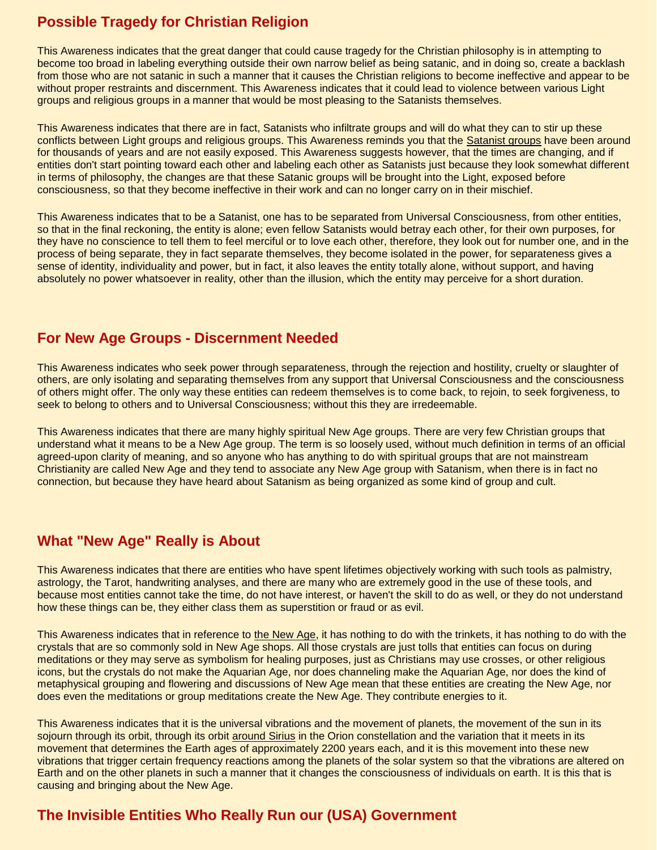# **Possible Tragedy for Christian Religion**

This Awareness indicates that the great danger that could cause tragedy for the Christian philosophy is in attempting to become too broad in labeling everything outside their own narrow belief as being satanic, and in doing so, create a backlash from those who are not satanic in such a manner that it causes the Christian religions to become ineffective and appear to be without proper restraints and discernment. This Awareness indicates that it could lead to violence between various Light groups and religious groups in a manner that would be most pleasing to the Satanists themselves.

This Awareness indicates that there are in fact, Satanists who infiltrate groups and will do what they can to stir up these conflicts between Light groups and religious groups. This Awareness reminds you that the Satanist groups have been around for thousands of years and are not easily exposed. This Awareness suggests however, that the times are changing, and if entities don't start pointing toward each other and labeling each other as Satanists just because they look somewhat different in terms of philosophy, the changes are that these Satanic groups will be brought into the Light, exposed before consciousness, so that they become ineffective in their work and can no longer carry on in their mischief.

This Awareness indicates that to be a Satanist, one has to be separated from Universal Consciousness, from other entities, so that in the final reckoning, the entity is alone; even fellow Satanists would betray each other, for their own purposes, for they have no conscience to tell them to feel merciful or to love each other, therefore, they look out for number one, and in the process of being separate, they in fact separate themselves, they become isolated in the power, for separateness gives a sense of identity, individuality and power, but in fact, it also leaves the entity totally alone, without support, and having absolutely no power whatsoever in reality, other than the illusion, which the entity may perceive for a short duration.

#### **For New Age Groups - Discernment Needed**

This Awareness indicates who seek power through separateness, through the rejection and hostility, cruelty or slaughter of others, are only isolating and separating themselves from any support that Universal Consciousness and the consciousness of others might offer. The only way these entities can redeem themselves is to come back, to rejoin, to seek forgiveness, to seek to belong to others and to Universal Consciousness; without this they are irredeemable.

This Awareness indicates that there are many highly spiritual New Age groups. There are very few Christian groups that understand what it means to be a New Age group. The term is so loosely used, without much definition in terms of an official agreed-upon clarity of meaning, and so anyone who has anything to do with spiritual groups that are not mainstream Christianity are called New Age and they tend to associate any New Age group with Satanism, when there is in fact no connection, but because they have heard about Satanism as being organized as some kind of group and cult.

#### **What "New Age" Really is About**

This Awareness indicates that there are entities who have spent lifetimes objectively working with such tools as palmistry, astrology, the Tarot, handwriting analyses, and there are many who are extremely good in the use of these tools, and because most entities cannot take the time, do not have interest, or haven't the skill to do as well, or they do not understand how these things can be, they either class them as superstition or fraud or as evil.

This Awareness indicates that in reference to the New Age, it has nothing to do with the trinkets, it has nothing to do with the crystals that are so commonly sold in New Age shops. All those crystals are just tolls that entities can focus on during meditations or they may serve as symbolism for healing purposes, just as Christians may use crosses, or other religious icons, but the crystals do not make the Aquarian Age, nor does channeling make the Aquarian Age, nor does the kind of metaphysical grouping and flowering and discussions of New Age mean that these entities are creating the New Age, nor does even the meditations or group meditations create the New Age. They contribute energies to it.

This Awareness indicates that it is the universal vibrations and the movement of planets, the movement of the sun in its sojourn through its orbit, through its orbit around Sirius in the Orion constellation and the variation that it meets in its movement that determines the Earth ages of approximately 2200 years each, and it is this movement into these new vibrations that trigger certain frequency reactions among the planets of the solar system so that the vibrations are altered on Earth and on the other planets in such a manner that it changes the consciousness of individuals on earth. It is this that is causing and bringing about the New Age.

#### **The Invisible Entities Who Really Run our (USA) Government**